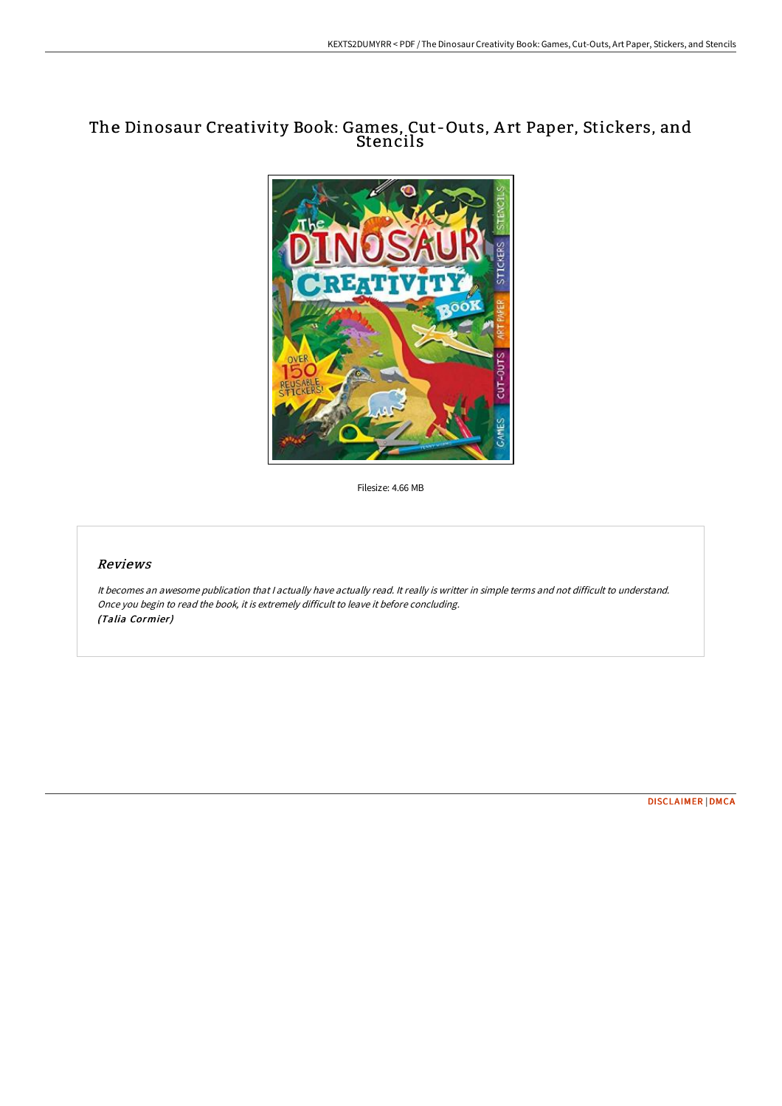## The Dinosaur Creativity Book: Games, Cut-Outs, A rt Paper, Stickers, and Stencils



Filesize: 4.66 MB

## Reviews

It becomes an awesome publication that I actually have actually read. It really is writter in simple terms and not difficult to understand. Once you begin to read the book, it is extremely difficult to leave it before concluding. (Talia Cormier)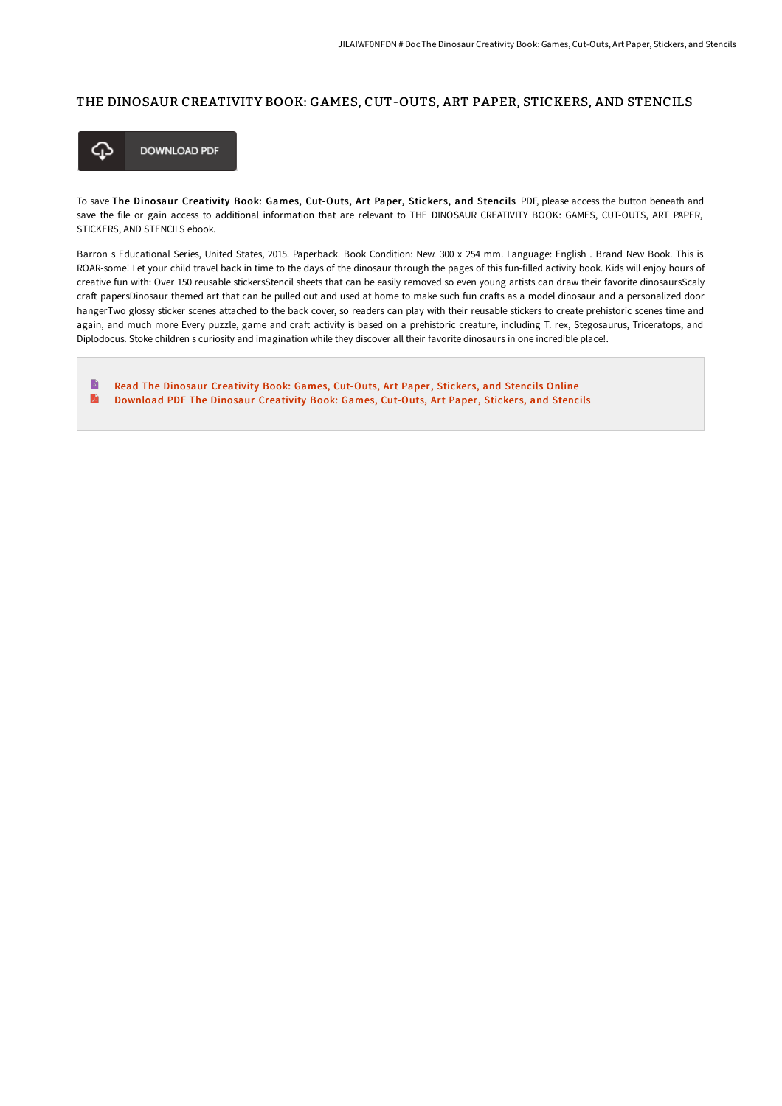## THE DINOSAUR CREATIVITY BOOK: GAMES, CUT-OUTS, ART PAPER, STICKERS, AND STENCILS



To save The Dinosaur Creativity Book: Games, Cut-Outs, Art Paper, Stickers, and Stencils PDF, please access the button beneath and save the file or gain access to additional information that are relevant to THE DINOSAUR CREATIVITY BOOK: GAMES, CUT-OUTS, ART PAPER, STICKERS, AND STENCILS ebook.

Barron s Educational Series, United States, 2015. Paperback. Book Condition: New. 300 x 254 mm. Language: English . Brand New Book. This is ROAR-some! Let your child travel back in time to the days of the dinosaur through the pages of this fun-filled activity book. Kids will enjoy hours of creative fun with: Over 150 reusable stickersStencil sheets that can be easily removed so even young artists can draw their favorite dinosaursScaly craft papersDinosaur themed art that can be pulled out and used at home to make such fun crafts as a model dinosaur and a personalized door hangerTwo glossy sticker scenes attached to the back cover, so readers can play with their reusable stickers to create prehistoric scenes time and again, and much more Every puzzle, game and craft activity is based on a prehistoric creature, including T. rex, Stegosaurus, Triceratops, and Diplodocus. Stoke children s curiosity and imagination while they discover all their favorite dinosaurs in one incredible place!.

B Read The Dinosaur [Creativity](http://digilib.live/the-dinosaur-creativity-book-games-cut-outs-art-.html) Book: Games, Cut-Outs, Art Paper, Stickers, and Stencils Online A [Download](http://digilib.live/the-dinosaur-creativity-book-games-cut-outs-art-.html) PDF The Dinosaur Creativity Book: Games, Cut-Outs, Art Paper, Stickers, and Stencils